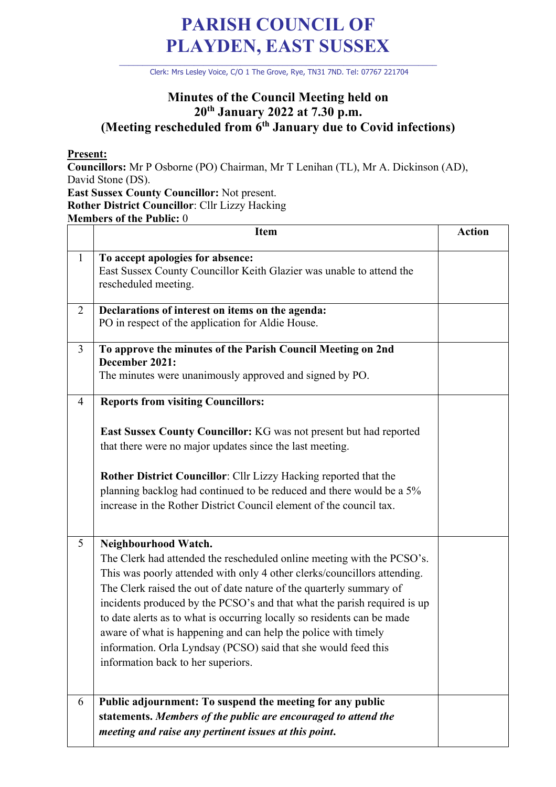## **PARISH COUNCIL OF PLAYDEN, EAST SUSSEX**

\_\_\_\_\_\_\_\_\_\_\_\_\_\_\_\_\_\_\_\_\_\_\_\_\_\_\_\_\_\_\_\_\_\_\_\_\_\_\_\_\_\_\_\_\_\_\_\_\_\_\_\_\_\_\_\_\_\_\_\_\_\_\_\_\_\_\_\_ Clerk: Mrs Lesley Voice, C/O 1 The Grove, Rye, TN31 7ND. Tel: 07767 221704

## **Minutes of the Council Meeting held on 20th January 2022 at 7.30 p.m. (Meeting rescheduled from 6th January due to Covid infections)**

## **Present:**

**Councillors:** Mr P Osborne (PO) Chairman, Mr T Lenihan (TL), Mr A. Dickinson (AD), David Stone (DS). **East Sussex County Councillor:** Not present. **Rother District Councillor**: Cllr Lizzy Hacking

**Members of the Public:** 0

|                | <b>Item</b>                                                                                                                                                                                                                                                                                                                                                                                                                                                                                                                                                                        | <b>Action</b> |
|----------------|------------------------------------------------------------------------------------------------------------------------------------------------------------------------------------------------------------------------------------------------------------------------------------------------------------------------------------------------------------------------------------------------------------------------------------------------------------------------------------------------------------------------------------------------------------------------------------|---------------|
| $\mathbf{1}$   | To accept apologies for absence:<br>East Sussex County Councillor Keith Glazier was unable to attend the<br>rescheduled meeting.                                                                                                                                                                                                                                                                                                                                                                                                                                                   |               |
| $\overline{2}$ | Declarations of interest on items on the agenda:<br>PO in respect of the application for Aldie House.                                                                                                                                                                                                                                                                                                                                                                                                                                                                              |               |
| $\overline{3}$ | To approve the minutes of the Parish Council Meeting on 2nd<br>December 2021:<br>The minutes were unanimously approved and signed by PO.                                                                                                                                                                                                                                                                                                                                                                                                                                           |               |
| 4              | <b>Reports from visiting Councillors:</b><br>East Sussex County Councillor: KG was not present but had reported<br>that there were no major updates since the last meeting.<br><b>Rother District Councillor:</b> Cllr Lizzy Hacking reported that the<br>planning backlog had continued to be reduced and there would be a 5%<br>increase in the Rother District Council element of the council tax.                                                                                                                                                                              |               |
| 5              | Neighbourhood Watch.<br>The Clerk had attended the rescheduled online meeting with the PCSO's.<br>This was poorly attended with only 4 other clerks/councillors attending.<br>The Clerk raised the out of date nature of the quarterly summary of<br>incidents produced by the PCSO's and that what the parish required is up<br>to date alerts as to what is occurring locally so residents can be made<br>aware of what is happening and can help the police with timely<br>information. Orla Lyndsay (PCSO) said that she would feed this<br>information back to her superiors. |               |
| 6              | Public adjournment: To suspend the meeting for any public<br>statements. Members of the public are encouraged to attend the<br>meeting and raise any pertinent issues at this point.                                                                                                                                                                                                                                                                                                                                                                                               |               |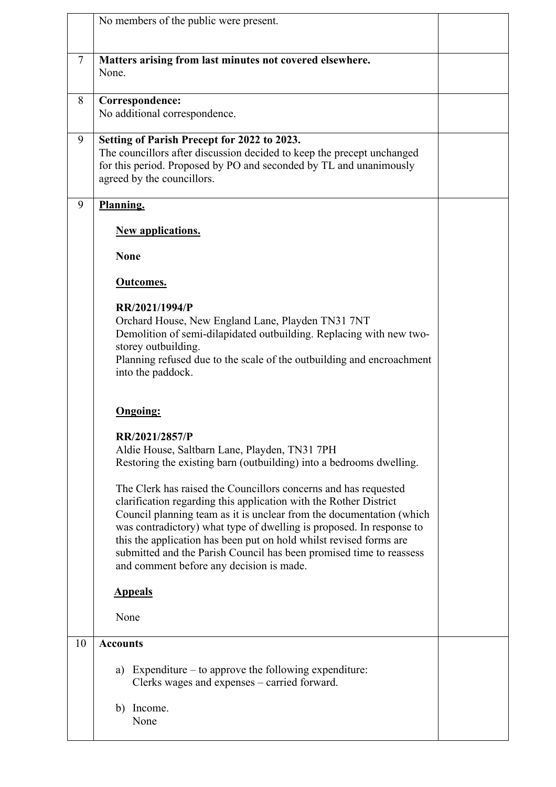|                | No members of the public were present.                                                                                                                                                                                                                                                                                                                                                                                                                                        |  |
|----------------|-------------------------------------------------------------------------------------------------------------------------------------------------------------------------------------------------------------------------------------------------------------------------------------------------------------------------------------------------------------------------------------------------------------------------------------------------------------------------------|--|
| $\overline{7}$ | Matters arising from last minutes not covered elsewhere.<br>None.                                                                                                                                                                                                                                                                                                                                                                                                             |  |
| 8              | Correspondence:<br>No additional correspondence.                                                                                                                                                                                                                                                                                                                                                                                                                              |  |
| 9              | Setting of Parish Precept for 2022 to 2023.<br>The councillors after discussion decided to keep the precept unchanged<br>for this period. Proposed by PO and seconded by TL and unanimously<br>agreed by the councillors.                                                                                                                                                                                                                                                     |  |
| 9              | Planning.                                                                                                                                                                                                                                                                                                                                                                                                                                                                     |  |
|                | <b>New applications.</b>                                                                                                                                                                                                                                                                                                                                                                                                                                                      |  |
|                | <b>None</b>                                                                                                                                                                                                                                                                                                                                                                                                                                                                   |  |
|                | Outcomes.                                                                                                                                                                                                                                                                                                                                                                                                                                                                     |  |
|                | RR/2021/1994/P<br>Orchard House, New England Lane, Playden TN31 7NT<br>Demolition of semi-dilapidated outbuilding. Replacing with new two-<br>storey outbuilding.<br>Planning refused due to the scale of the outbuilding and encroachment<br>into the paddock.                                                                                                                                                                                                               |  |
|                | <b>Ongoing:</b>                                                                                                                                                                                                                                                                                                                                                                                                                                                               |  |
|                | RR/2021/2857/P<br>Aldie House, Saltbarn Lane, Playden, TN31 7PH<br>Restoring the existing barn (outbuilding) into a bedrooms dwelling.                                                                                                                                                                                                                                                                                                                                        |  |
|                | The Clerk has raised the Councillors concerns and has requested<br>clarification regarding this application with the Rother District<br>Council planning team as it is unclear from the documentation (which<br>was contradictory) what type of dwelling is proposed. In response to<br>this the application has been put on hold whilst revised forms are<br>submitted and the Parish Council has been promised time to reassess<br>and comment before any decision is made. |  |
|                | <b>Appeals</b>                                                                                                                                                                                                                                                                                                                                                                                                                                                                |  |
|                | None                                                                                                                                                                                                                                                                                                                                                                                                                                                                          |  |
| 10             | <b>Accounts</b>                                                                                                                                                                                                                                                                                                                                                                                                                                                               |  |
|                | Expenditure $-$ to approve the following expenditure:<br>a)<br>Clerks wages and expenses – carried forward.                                                                                                                                                                                                                                                                                                                                                                   |  |
|                | b) Income.<br>None                                                                                                                                                                                                                                                                                                                                                                                                                                                            |  |